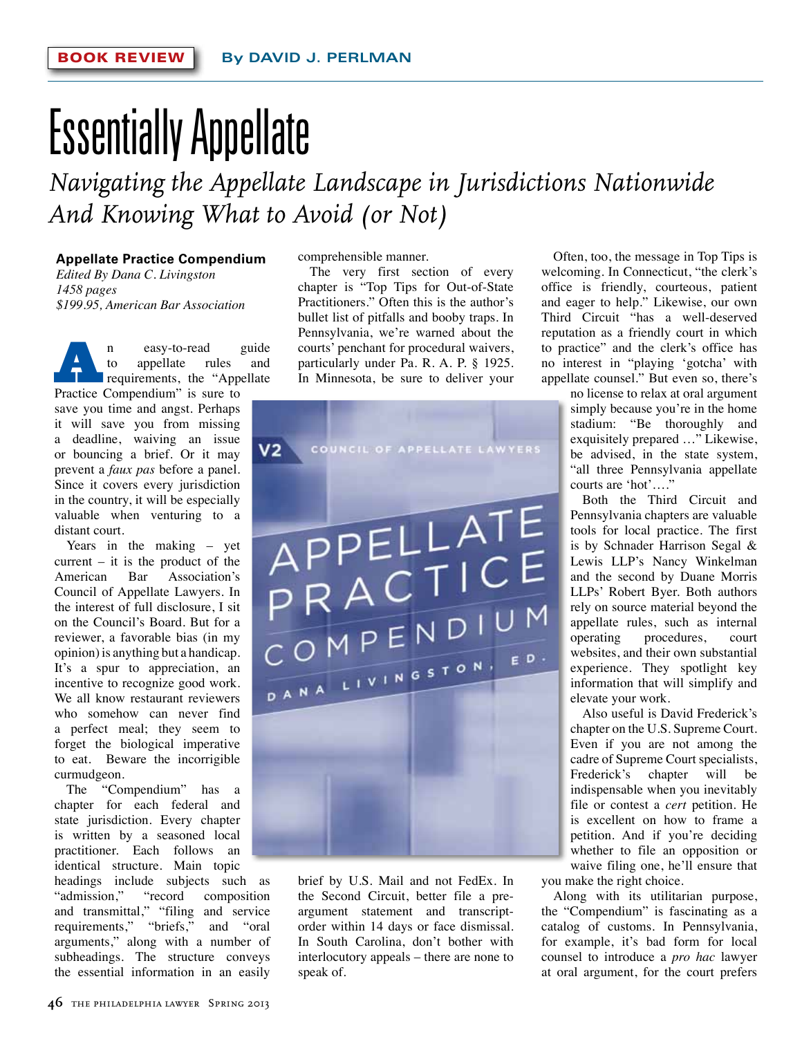## Essentially Appellate

*Navigating the Appellate Landscape in Jurisdictions Nationwide And Knowing What to Avoid (or Not)*

## **Appellate Practice Compendium**

*Edited By Dana C. Livingston 1458 pages \$199.95, American Bar Association*

**An** easy-to-read guide<br>
to appellate rules and<br>
requirements, the "Appellate to appellate rules and Practice Compendium" is sure to save you time and angst. Perhaps it will save you from missing a deadline, waiving an issue or bouncing a brief. Or it may prevent a *faux pas* before a panel. Since it covers every jurisdiction in the country, it will be especially valuable when venturing to a distant court.

Years in the making – yet current  $-$  it is the product of the American Bar Association's Council of Appellate Lawyers. In the interest of full disclosure, I sit on the Council's Board. But for a reviewer, a favorable bias (in my opinion) is anything but a handicap. It's a spur to appreciation, an incentive to recognize good work. We all know restaurant reviewers who somehow can never find a perfect meal; they seem to forget the biological imperative to eat. Beware the incorrigible curmudgeon.

The "Compendium" has a chapter for each federal and state jurisdiction. Every chapter is written by a seasoned local practitioner. Each follows an identical structure. Main topic

headings include subjects such as "admission," "record composition and transmittal," "filing and service requirements," "briefs," and "oral arguments," along with a number of subheadings. The structure conveys the essential information in an easily

comprehensible manner.

The very first section of every chapter is "Top Tips for Out-of-State Practitioners." Often this is the author's bullet list of pitfalls and booby traps. In Pennsylvania, we're warned about the courts' penchant for procedural waivers, particularly under Pa. R. A. P. § 1925. In Minnesota, be sure to deliver your



brief by U.S. Mail and not FedEx. In the Second Circuit, better file a preargument statement and transcriptorder within 14 days or face dismissal. In South Carolina, don't bother with interlocutory appeals – there are none to speak of.

Often, too, the message in Top Tips is welcoming. In Connecticut, "the clerk's office is friendly, courteous, patient and eager to help." Likewise, our own Third Circuit "has a well-deserved reputation as a friendly court in which to practice" and the clerk's office has no interest in "playing 'gotcha' with appellate counsel." But even so, there's

no license to relax at oral argument simply because you're in the home stadium: "Be thoroughly and exquisitely prepared …" Likewise, be advised, in the state system, "all three Pennsylvania appellate courts are 'hot'…."

Both the Third Circuit and Pennsylvania chapters are valuable tools for local practice. The first is by Schnader Harrison Segal & Lewis LLP's Nancy Winkelman and the second by Duane Morris LLPs' Robert Byer. Both authors rely on source material beyond the appellate rules, such as internal operating procedures, court websites, and their own substantial experience. They spotlight key information that will simplify and elevate your work.

Also useful is David Frederick's chapter on the U.S. Supreme Court. Even if you are not among the cadre of Supreme Court specialists, Frederick's chapter will be indispensable when you inevitably file or contest a *cert* petition. He is excellent on how to frame a petition. And if you're deciding whether to file an opposition or waive filing one, he'll ensure that

you make the right choice.

Along with its utilitarian purpose, the "Compendium" is fascinating as a catalog of customs. In Pennsylvania, for example, it's bad form for local counsel to introduce a *pro hac* lawyer at oral argument, for the court prefers